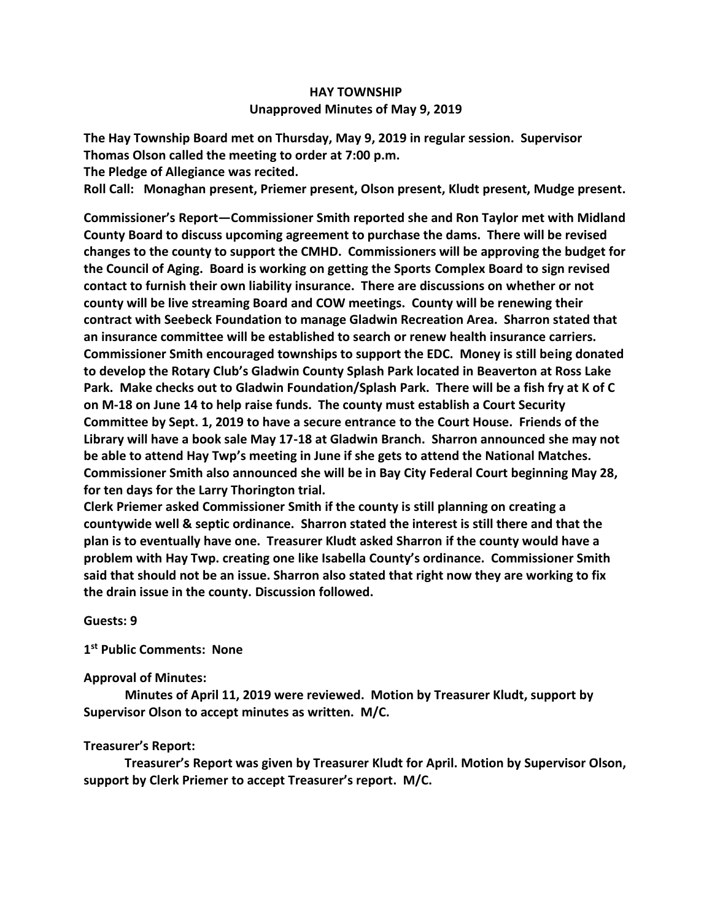## **HAY TOWNSHIP Unapproved Minutes of May 9, 2019**

**The Hay Township Board met on Thursday, May 9, 2019 in regular session. Supervisor Thomas Olson called the meeting to order at 7:00 p.m.** 

**The Pledge of Allegiance was recited.** 

**Roll Call: Monaghan present, Priemer present, Olson present, Kludt present, Mudge present.**

**Commissioner's Report—Commissioner Smith reported she and Ron Taylor met with Midland County Board to discuss upcoming agreement to purchase the dams. There will be revised changes to the county to support the CMHD. Commissioners will be approving the budget for the Council of Aging. Board is working on getting the Sports Complex Board to sign revised contact to furnish their own liability insurance. There are discussions on whether or not county will be live streaming Board and COW meetings. County will be renewing their contract with Seebeck Foundation to manage Gladwin Recreation Area. Sharron stated that an insurance committee will be established to search or renew health insurance carriers. Commissioner Smith encouraged townships to support the EDC. Money is still being donated to develop the Rotary Club's Gladwin County Splash Park located in Beaverton at Ross Lake Park. Make checks out to Gladwin Foundation/Splash Park. There will be a fish fry at K of C on M-18 on June 14 to help raise funds. The county must establish a Court Security Committee by Sept. 1, 2019 to have a secure entrance to the Court House. Friends of the Library will have a book sale May 17-18 at Gladwin Branch. Sharron announced she may not be able to attend Hay Twp's meeting in June if she gets to attend the National Matches. Commissioner Smith also announced she will be in Bay City Federal Court beginning May 28, for ten days for the Larry Thorington trial.** 

**Clerk Priemer asked Commissioner Smith if the county is still planning on creating a countywide well & septic ordinance. Sharron stated the interest is still there and that the plan is to eventually have one. Treasurer Kludt asked Sharron if the county would have a problem with Hay Twp. creating one like Isabella County's ordinance. Commissioner Smith said that should not be an issue. Sharron also stated that right now they are working to fix the drain issue in the county. Discussion followed.**

**Guests: 9**

**1 st Public Comments: None**

## **Approval of Minutes:**

 **Minutes of April 11, 2019 were reviewed. Motion by Treasurer Kludt, support by Supervisor Olson to accept minutes as written. M/C.**

## **Treasurer's Report:**

 **Treasurer's Report was given by Treasurer Kludt for April. Motion by Supervisor Olson, support by Clerk Priemer to accept Treasurer's report. M/C.**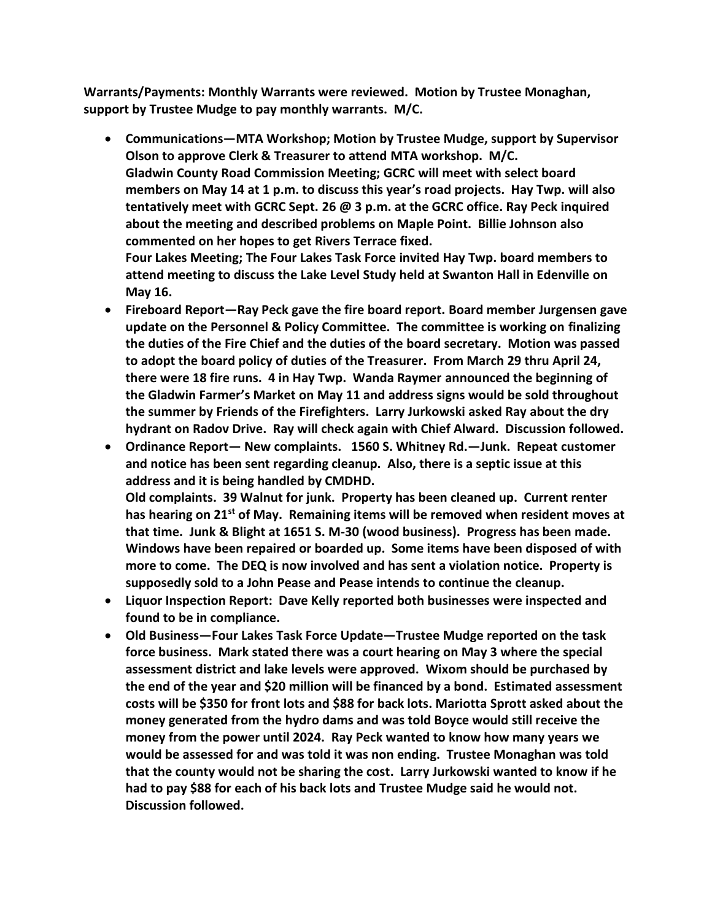**Warrants/Payments: Monthly Warrants were reviewed. Motion by Trustee Monaghan, support by Trustee Mudge to pay monthly warrants. M/C.**

• **Communications—MTA Workshop; Motion by Trustee Mudge, support by Supervisor Olson to approve Clerk & Treasurer to attend MTA workshop. M/C. Gladwin County Road Commission Meeting; GCRC will meet with select board members on May 14 at 1 p.m. to discuss this year's road projects. Hay Twp. will also tentatively meet with GCRC Sept. 26 @ 3 p.m. at the GCRC office. Ray Peck inquired about the meeting and described problems on Maple Point. Billie Johnson also commented on her hopes to get Rivers Terrace fixed.**

**Four Lakes Meeting; The Four Lakes Task Force invited Hay Twp. board members to attend meeting to discuss the Lake Level Study held at Swanton Hall in Edenville on May 16.**

- **Fireboard Report—Ray Peck gave the fire board report. Board member Jurgensen gave update on the Personnel & Policy Committee. The committee is working on finalizing the duties of the Fire Chief and the duties of the board secretary. Motion was passed to adopt the board policy of duties of the Treasurer. From March 29 thru April 24, there were 18 fire runs. 4 in Hay Twp. Wanda Raymer announced the beginning of the Gladwin Farmer's Market on May 11 and address signs would be sold throughout the summer by Friends of the Firefighters. Larry Jurkowski asked Ray about the dry hydrant on Radov Drive. Ray will check again with Chief Alward. Discussion followed.**
- **Ordinance Report— New complaints. 1560 S. Whitney Rd.—Junk. Repeat customer and notice has been sent regarding cleanup. Also, there is a septic issue at this address and it is being handled by CMDHD. Old complaints. 39 Walnut for junk. Property has been cleaned up. Current renter has hearing on 21st of May. Remaining items will be removed when resident moves at that time. Junk & Blight at 1651 S. M-30 (wood business). Progress has been made. Windows have been repaired or boarded up. Some items have been disposed of with more to come. The DEQ is now involved and has sent a violation notice. Property is supposedly sold to a John Pease and Pease intends to continue the cleanup.**
- **Liquor Inspection Report: Dave Kelly reported both businesses were inspected and found to be in compliance.**
- **Old Business—Four Lakes Task Force Update—Trustee Mudge reported on the task force business. Mark stated there was a court hearing on May 3 where the special assessment district and lake levels were approved. Wixom should be purchased by the end of the year and \$20 million will be financed by a bond. Estimated assessment costs will be \$350 for front lots and \$88 for back lots. Mariotta Sprott asked about the money generated from the hydro dams and was told Boyce would still receive the money from the power until 2024. Ray Peck wanted to know how many years we would be assessed for and was told it was non ending. Trustee Monaghan was told that the county would not be sharing the cost. Larry Jurkowski wanted to know if he had to pay \$88 for each of his back lots and Trustee Mudge said he would not. Discussion followed.**